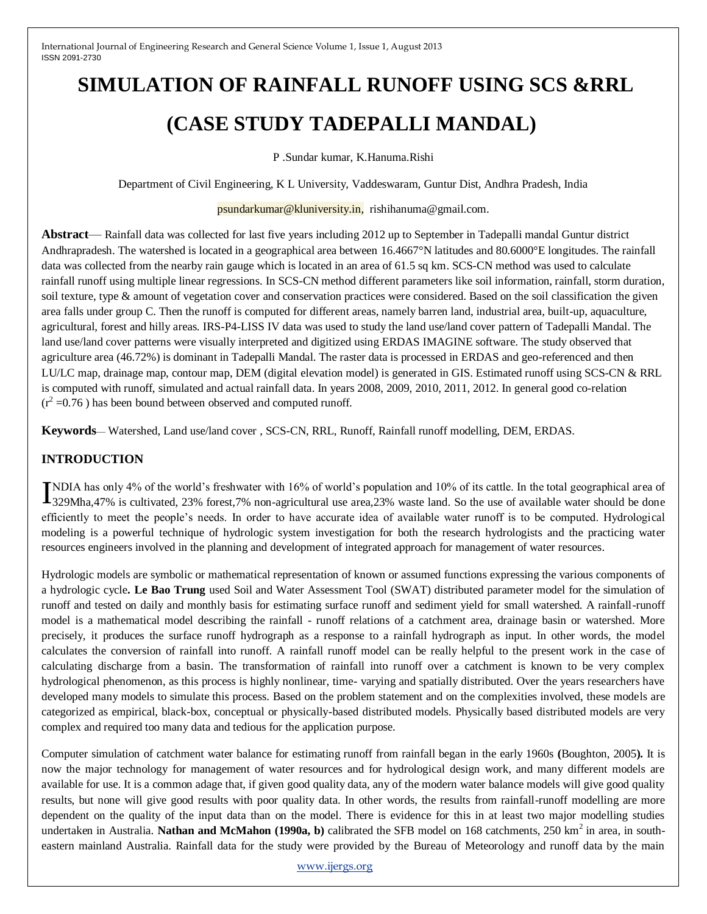# **SIMULATION OF RAINFALL RUNOFF USING SCS &RRL (CASE STUDY TADEPALLI MANDAL)**

P .Sundar kumar, K.Hanuma.Rishi

Department of Civil Engineering, K L University, Vaddeswaram, Guntur Dist, Andhra Pradesh, India

#### psundarkumar@kluniversity.in, rishihanuma@gmail.com.

**Abstract**— Rainfall data was collected for last five years including 2012 up to September in Tadepalli mandal Guntur district Andhrapradesh. The watershed is located in a geographical area between 16.4667°N latitudes and 80.6000°E longitudes. The rainfall data was collected from the nearby rain gauge which is located in an area of 61.5 sq km. SCS-CN method was used to calculate rainfall runoff using multiple linear regressions. In SCS-CN method different parameters like soil information, rainfall, storm duration, soil texture, type & amount of vegetation cover and conservation practices were considered. Based on the soil classification the given area falls under group C. Then the runoff is computed for different areas, namely barren land, industrial area, built-up, aquaculture, agricultural, forest and hilly areas. IRS-P4-LISS IV data was used to study the land use/land cover pattern of Tadepalli Mandal. The land use/land cover patterns were visually interpreted and digitized using ERDAS IMAGINE software. The study observed that agriculture area (46.72%) is dominant in Tadepalli Mandal. The raster data is processed in ERDAS and geo-referenced and then LU/LC map, drainage map, contour map, DEM (digital elevation model) is generated in GIS. Estimated runoff using SCS-CN & RRL is computed with runoff, simulated and actual rainfall data. In years 2008, 2009, 2010, 2011, 2012. In general good co-relation  $(r^2 = 0.76)$  has been bound between observed and computed runoff.

**Keywords**— Watershed, Land use/land cover , SCS-CN, RRL, Runoff, Rainfall runoff modelling, DEM, ERDAS.

# **INTRODUCTION**

NDIA has only 4% of the world's freshwater with 16% of world's population and 10% of its cattle. In the total geographical area of INDIA has only 4% of the world's freshwater with 16% of world's population and 10% of its cattle. In the total geographical area of 329Mha,47% is cultivated, 23% forest,7% non-agricultural use area,23% waste land. So the u efficiently to meet the people's needs. In order to have accurate idea of available water runoff is to be computed. Hydrological modeling is a powerful technique of hydrologic system investigation for both the research hydrologists and the practicing water resources engineers involved in the planning and development of integrated approach for management of water resources.

Hydrologic models are symbolic or mathematical representation of known or assumed functions expressing the various components of a hydrologic cycle**. Le Bao Trung** used Soil and Water Assessment Tool (SWAT) distributed parameter model for the simulation of runoff and tested on daily and monthly basis for estimating surface runoff and sediment yield for small watershed. A rainfall-runoff model is a mathematical model describing the rainfall - runoff relations of a catchment area, drainage basin or watershed. More precisely, it produces the surface runoff hydrograph as a response to a rainfall hydrograph as input. In other words, the model calculates the conversion of rainfall into runoff. A rainfall runoff model can be really helpful to the present work in the case of calculating discharge from a basin. The transformation of rainfall into runoff over a catchment is known to be very complex hydrological phenomenon, as this process is highly nonlinear, time- varying and spatially distributed. Over the years researchers have developed many models to simulate this process. Based on the problem statement and on the complexities involved, these models are categorized as empirical, black-box, conceptual or physically-based distributed models. Physically based distributed models are very complex and required too many data and tedious for the application purpose.

Computer simulation of catchment water balance for estimating runoff from rainfall began in the early 1960s **(**Boughton, 2005**).** It is now the major technology for management of water resources and for hydrological design work, and many different models are available for use. It is a common adage that, if given good quality data, any of the modern water balance models will give good quality results, but none will give good results with poor quality data. In other words, the results from rainfall-runoff modelling are more dependent on the quality of the input data than on the model. There is evidence for this in at least two major modelling studies undertaken in Australia. **Nathan and McMahon (1990a, b)** calibrated the SFB model on 168 catchments, 250 km<sup>2</sup> in area, in southeastern mainland Australia. Rainfall data for the study were provided by the Bureau of Meteorology and runoff data by the main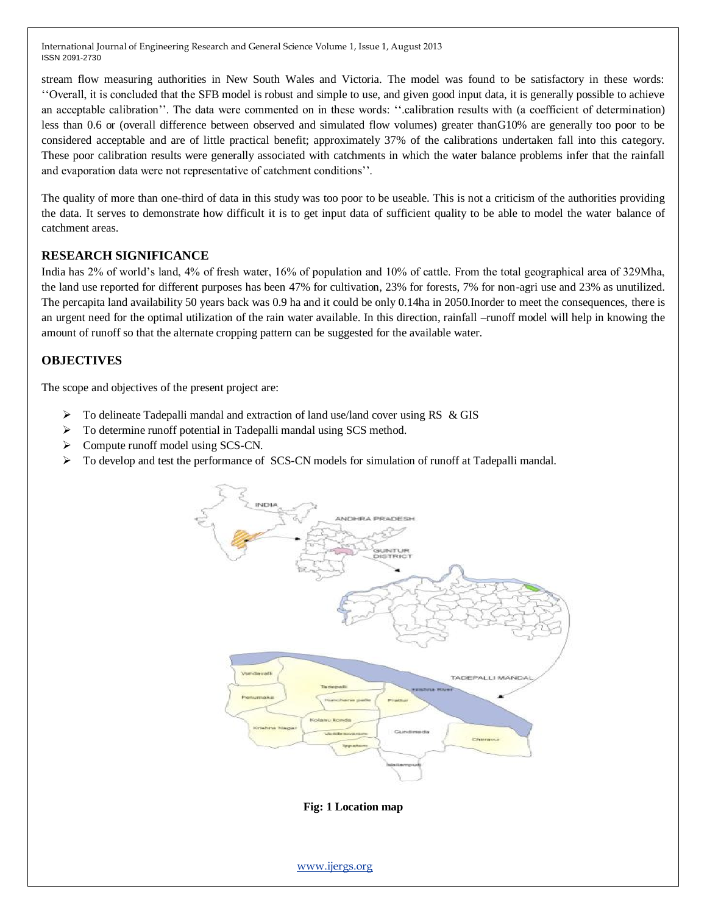stream flow measuring authorities in New South Wales and Victoria. The model was found to be satisfactory in these words: ''Overall, it is concluded that the SFB model is robust and simple to use, and given good input data, it is generally possible to achieve an acceptable calibration''. The data were commented on in these words: ''.calibration results with (a coefficient of determination) less than 0.6 or (overall difference between observed and simulated flow volumes) greater thanG10% are generally too poor to be considered acceptable and are of little practical benefit; approximately 37% of the calibrations undertaken fall into this category. These poor calibration results were generally associated with catchments in which the water balance problems infer that the rainfall and evaporation data were not representative of catchment conditions''.

The quality of more than one-third of data in this study was too poor to be useable. This is not a criticism of the authorities providing the data. It serves to demonstrate how difficult it is to get input data of sufficient quality to be able to model the water balance of catchment areas.

# **RESEARCH SIGNIFICANCE**

India has 2% of world's land, 4% of fresh water, 16% of population and 10% of cattle. From the total geographical area of 329Mha, the land use reported for different purposes has been 47% for cultivation, 23% for forests, 7% for non-agri use and 23% as unutilized. The percapita land availability 50 years back was 0.9 ha and it could be only 0.14ha in 2050.Inorder to meet the consequences, there is an urgent need for the optimal utilization of the rain water available. In this direction, rainfall –runoff model will help in knowing the amount of runoff so that the alternate cropping pattern can be suggested for the available water.

# **OBJECTIVES**

The scope and objectives of the present project are:

- $\triangleright$  To delineate Tadepalli mandal and extraction of land use/land cover using RS & GIS
- > To determine runoff potential in Tadepalli mandal using SCS method.
- Compute runoff model using SCS-CN.
- To develop and test the performance of SCS-CN models for simulation of runoff at Tadepalli mandal.



**Fig: 1 Location map**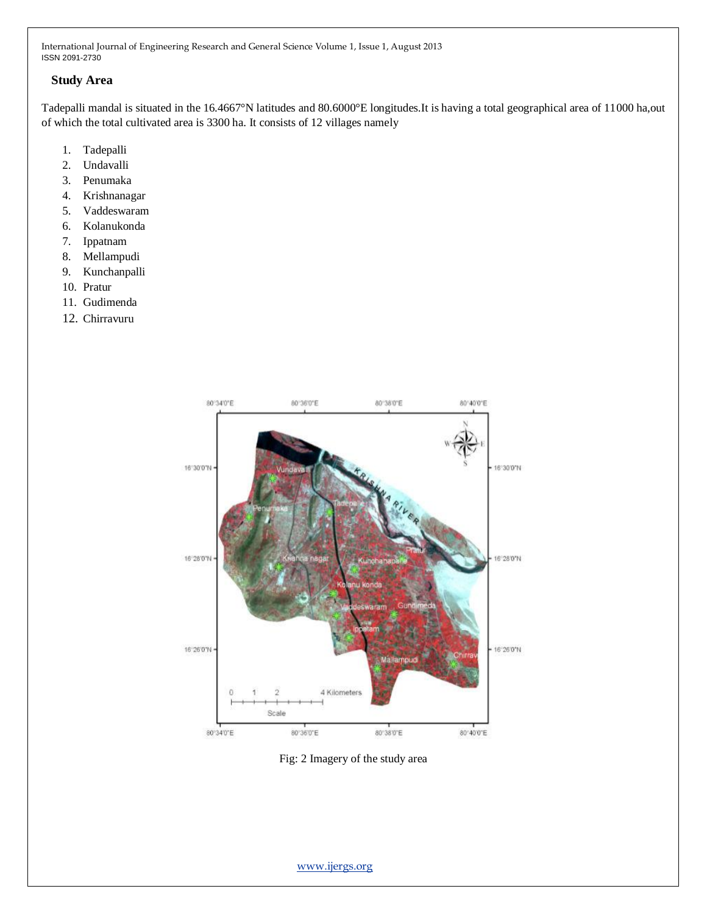#### **Study Area**

Tadepalli mandal is situated in the 16.4667°N latitudes and 80.6000°E longitudes.It is having a total geographical area of 11000 ha,out of which the total cultivated area is 3300 ha. It consists of 12 villages namely

- 1. Tadepalli
- 2. Undavalli
- 3. Penumaka
- 4. Krishnanagar
- 5. Vaddeswaram
- 6. Kolanukonda
- 7. Ippatnam
- 8. Mellampudi
- 9. Kunchanpalli
- 10. Pratur
- 11. Gudimenda
- 12. Chirravuru



Fig: 2 Imagery of the study area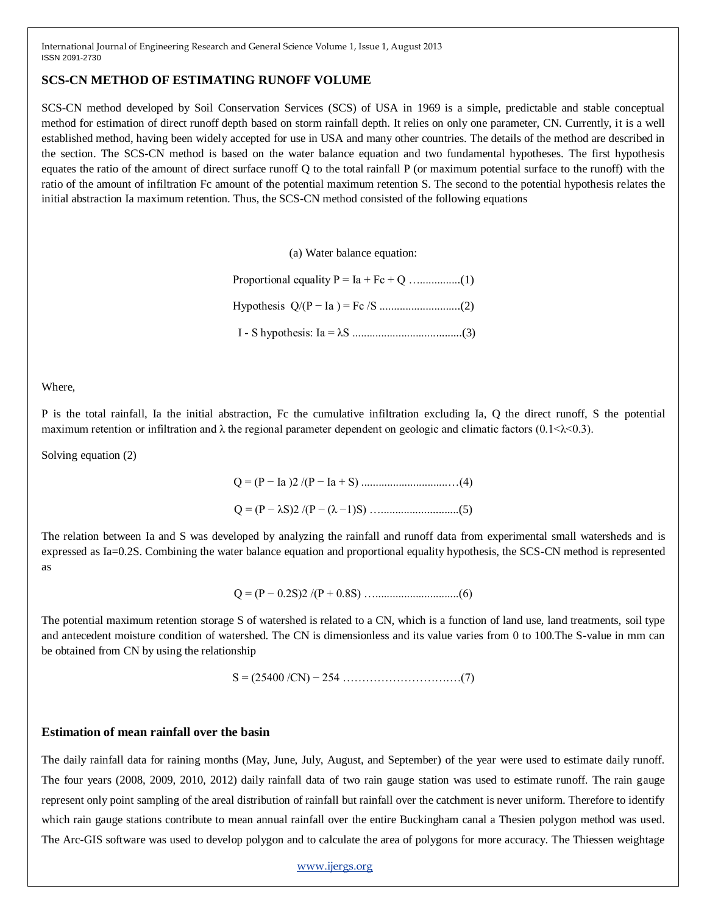## **SCS-CN METHOD OF ESTIMATING RUNOFF VOLUME**

SCS-CN method developed by Soil Conservation Services (SCS) of USA in 1969 is a simple, predictable and stable conceptual method for estimation of direct runoff depth based on storm rainfall depth. It relies on only one parameter, CN. Currently, it is a well established method, having been widely accepted for use in USA and many other countries. The details of the method are described in the section. The SCS-CN method is based on the water balance equation and two fundamental hypotheses. The first hypothesis equates the ratio of the amount of direct surface runoff Q to the total rainfall P (or maximum potential surface to the runoff) with the ratio of the amount of infiltration Fc amount of the potential maximum retention S. The second to the potential hypothesis relates the initial abstraction Ia maximum retention. Thus, the SCS-CN method consisted of the following equations

(a) Water balance equation:

Proportional equality P = Ia + Fc + Q …..............(1) Hypothesis Q/(P − Ia ) = Fc /S ............................(2) I - S hypothesis: Ia = λS ......................................(3)

Where,

P is the total rainfall, Ia the initial abstraction, Fc the cumulative infiltration excluding Ia, Q the direct runoff, S the potential maximum retention or infiltration and  $\lambda$  the regional parameter dependent on geologic and climatic factors (0.1< $\lambda$ <0.3).

Solving equation (2)

$$
Q = (P - Ia)2/(P - Ia + S) \dots (4)
$$
  
Q = (P - \lambda S)2/(P - (\lambda - 1)S) \dots (5)

The relation between Ia and S was developed by analyzing the rainfall and runoff data from experimental small watersheds and is expressed as Ia=0.2S. Combining the water balance equation and proportional equality hypothesis, the SCS-CN method is represented as

Q = (P − 0.2S)2 /(P + 0.8S) ….............................(6)

The potential maximum retention storage S of watershed is related to a CN, which is a function of land use, land treatments, soil type and antecedent moisture condition of watershed. The CN is dimensionless and its value varies from 0 to 100.The S-value in mm can be obtained from CN by using the relationship

S = (25400 /CN) − 254 ……………………….…(7)

## **Estimation of mean rainfall over the basin**

The daily rainfall data for raining months (May, June, July, August, and September) of the year were used to estimate daily runoff. The four years (2008, 2009, 2010, 2012) daily rainfall data of two rain gauge station was used to estimate runoff. The rain gauge represent only point sampling of the areal distribution of rainfall but rainfall over the catchment is never uniform. Therefore to identify which rain gauge stations contribute to mean annual rainfall over the entire Buckingham canal a Thesien polygon method was used. The Arc-GIS software was used to develop polygon and to calculate the area of polygons for more accuracy. The Thiessen weightage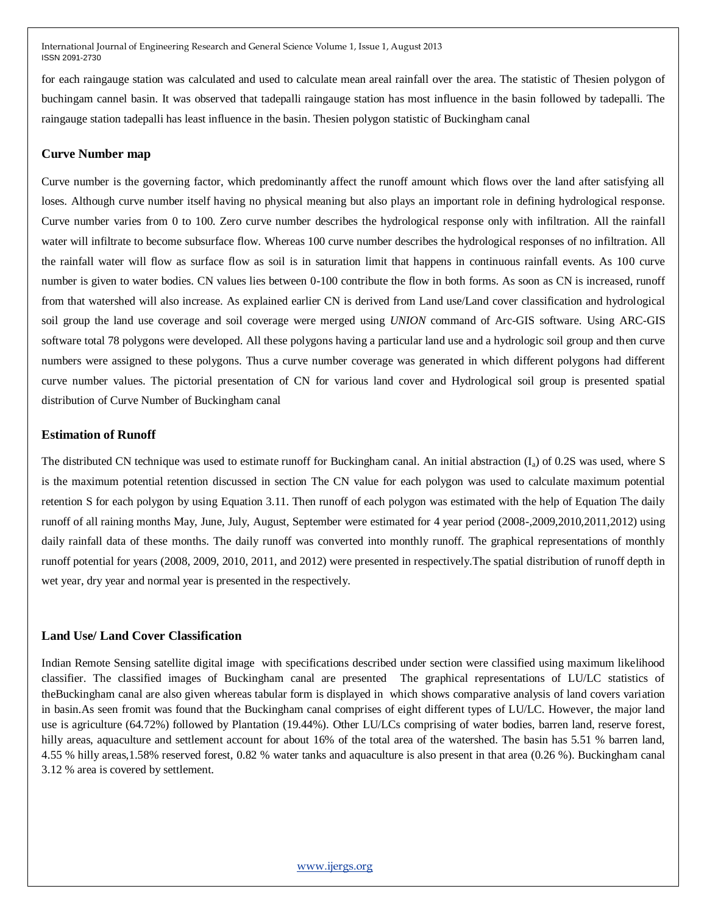for each raingauge station was calculated and used to calculate mean areal rainfall over the area. The statistic of Thesien polygon of buchingam cannel basin. It was observed that tadepalli raingauge station has most influence in the basin followed by tadepalli. The raingauge station tadepalli has least influence in the basin. Thesien polygon statistic of Buckingham canal

#### **Curve Number map**

Curve number is the governing factor, which predominantly affect the runoff amount which flows over the land after satisfying all loses. Although curve number itself having no physical meaning but also plays an important role in defining hydrological response. Curve number varies from 0 to 100. Zero curve number describes the hydrological response only with infiltration. All the rainfall water will infiltrate to become subsurface flow. Whereas 100 curve number describes the hydrological responses of no infiltration. All the rainfall water will flow as surface flow as soil is in saturation limit that happens in continuous rainfall events. As 100 curve number is given to water bodies. CN values lies between 0-100 contribute the flow in both forms. As soon as CN is increased, runoff from that watershed will also increase. As explained earlier CN is derived from Land use/Land cover classification and hydrological soil group the land use coverage and soil coverage were merged using *UNION* command of Arc-GIS software. Using ARC-GIS software total 78 polygons were developed. All these polygons having a particular land use and a hydrologic soil group and then curve numbers were assigned to these polygons. Thus a curve number coverage was generated in which different polygons had different curve number values. The pictorial presentation of CN for various land cover and Hydrological soil group is presented spatial distribution of Curve Number of Buckingham canal

#### **Estimation of Runoff**

The distributed CN technique was used to estimate runoff for Buckingham canal. An initial abstraction  $(I_a)$  of 0.2S was used, where S is the maximum potential retention discussed in section The CN value for each polygon was used to calculate maximum potential retention S for each polygon by using Equation 3.11. Then runoff of each polygon was estimated with the help of Equation The daily runoff of all raining months May, June, July, August, September were estimated for 4 year period (2008-,2009,2010,2011,2012) using daily rainfall data of these months. The daily runoff was converted into monthly runoff. The graphical representations of monthly runoff potential for years (2008, 2009, 2010, 2011, and 2012) were presented in respectively.The spatial distribution of runoff depth in wet year, dry year and normal year is presented in the respectively.

#### **Land Use/ Land Cover Classification**

Indian Remote Sensing satellite digital image with specifications described under section were classified using maximum likelihood classifier. The classified images of Buckingham canal are presented The graphical representations of LU/LC statistics of theBuckingham canal are also given whereas tabular form is displayed in which shows comparative analysis of land covers variation in basin.As seen fromit was found that the Buckingham canal comprises of eight different types of LU/LC. However, the major land use is agriculture (64.72%) followed by Plantation (19.44%). Other LU/LCs comprising of water bodies, barren land, reserve forest, hilly areas, aquaculture and settlement account for about 16% of the total area of the watershed. The basin has 5.51 % barren land, 4.55 % hilly areas,1.58% reserved forest, 0.82 % water tanks and aquaculture is also present in that area (0.26 %). Buckingham canal 3.12 % area is covered by settlement.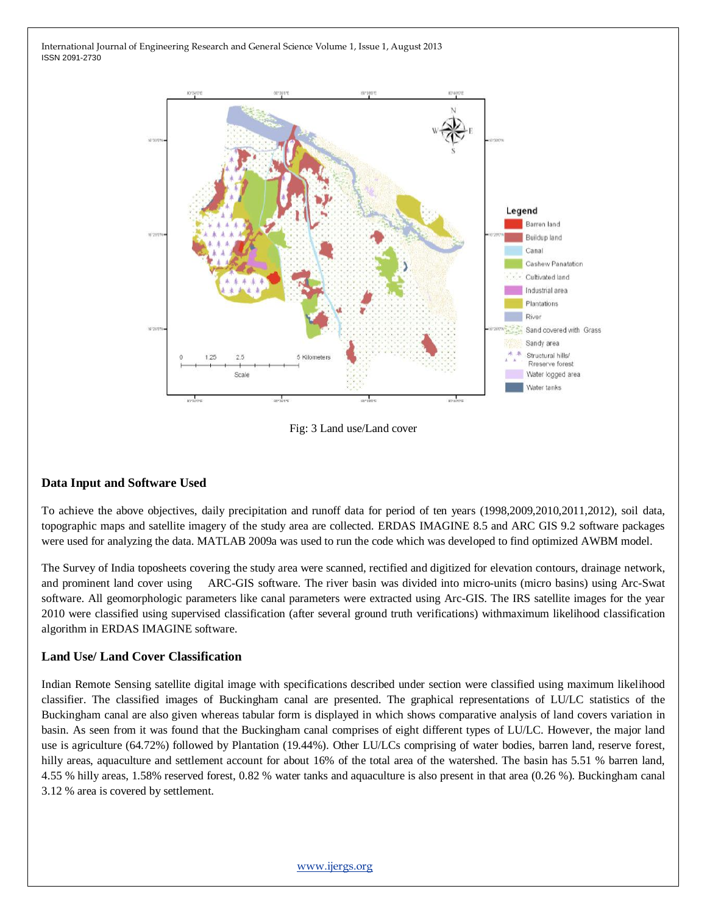

Fig: 3 Land use/Land cover

# **Data Input and Software Used**

To achieve the above objectives, daily precipitation and runoff data for period of ten years (1998,2009,2010,2011,2012), soil data, topographic maps and satellite imagery of the study area are collected. ERDAS IMAGINE 8.5 and ARC GIS 9.2 software packages were used for analyzing the data. MATLAB 2009a was used to run the code which was developed to find optimized AWBM model.

The Survey of India toposheets covering the study area were scanned, rectified and digitized for elevation contours, drainage network, and prominent land cover using ARC-GIS software. The river basin was divided into micro-units (micro basins) using Arc-Swat software. All geomorphologic parameters like canal parameters were extracted using Arc-GIS. The IRS satellite images for the year 2010 were classified using supervised classification (after several ground truth verifications) withmaximum likelihood classification algorithm in ERDAS IMAGINE software.

#### **Land Use/ Land Cover Classification**

Indian Remote Sensing satellite digital image with specifications described under section were classified using maximum likelihood classifier. The classified images of Buckingham canal are presented. The graphical representations of LU/LC statistics of the Buckingham canal are also given whereas tabular form is displayed in which shows comparative analysis of land covers variation in basin. As seen from it was found that the Buckingham canal comprises of eight different types of LU/LC. However, the major land use is agriculture (64.72%) followed by Plantation (19.44%). Other LU/LCs comprising of water bodies, barren land, reserve forest, hilly areas, aquaculture and settlement account for about 16% of the total area of the watershed. The basin has 5.51 % barren land, 4.55 % hilly areas, 1.58% reserved forest, 0.82 % water tanks and aquaculture is also present in that area (0.26 %). Buckingham canal 3.12 % area is covered by settlement.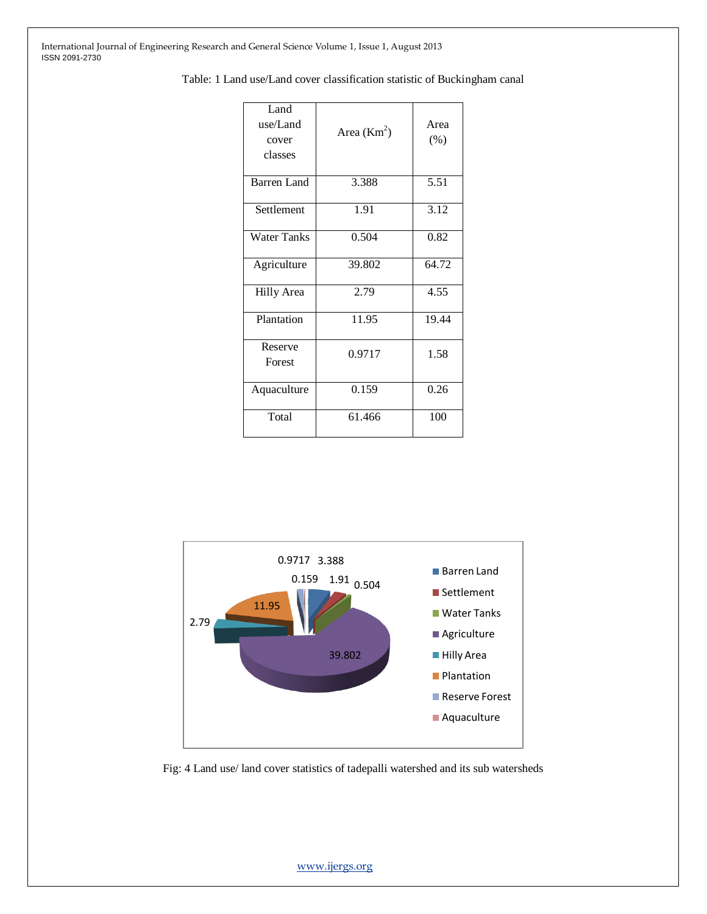| Land<br>use/Land<br>cover<br>classes | Area $(Km2)$ | Area<br>$(\% )$ |
|--------------------------------------|--------------|-----------------|
| Barren Land                          | 3.388        | 5.51            |
| Settlement                           | 1.91         | 3.12            |
| <b>Water Tanks</b>                   | 0.504        | 0.82            |
| Agriculture                          | 39.802       | 64.72           |
| <b>Hilly Area</b>                    | 2.79         | 4.55            |
| Plantation                           | 11.95        | 19.44           |
| Reserve<br>Forest                    | 0.9717       | 1.58            |
| Aquaculture                          | 0.159        | 0.26            |
| Total                                | 61.466       | 100             |

Table: 1 Land use/Land cover classification statistic of Buckingham canal



Fig: 4 Land use/ land cover statistics of tadepalli watershed and its sub watersheds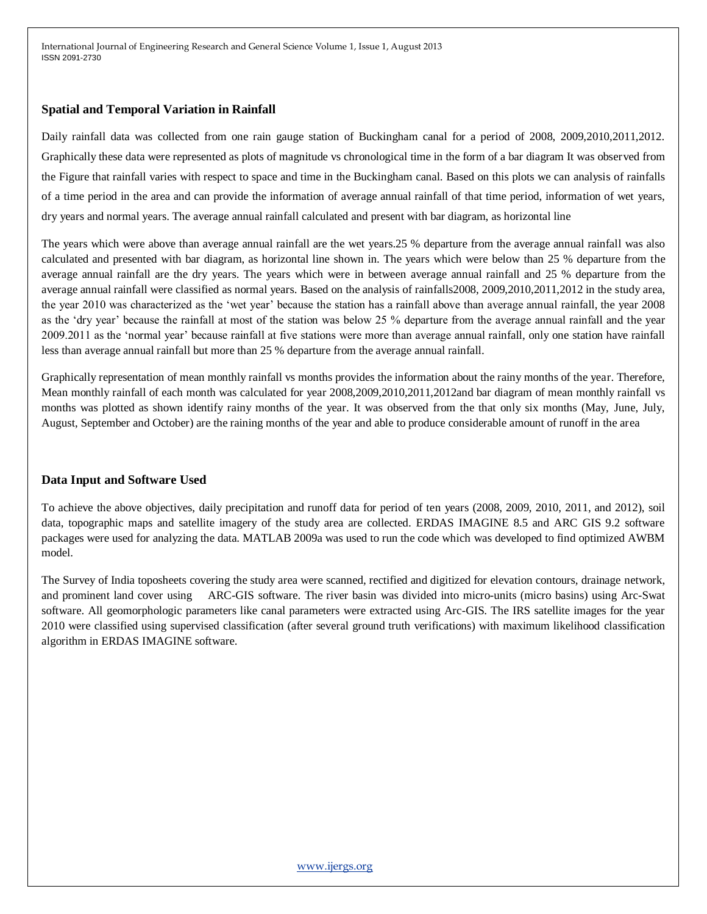#### **Spatial and Temporal Variation in Rainfall**

Daily rainfall data was collected from one rain gauge station of Buckingham canal for a period of 2008, 2009,2010,2011,2012. Graphically these data were represented as plots of magnitude vs chronological time in the form of a bar diagram It was observed from the Figure that rainfall varies with respect to space and time in the Buckingham canal. Based on this plots we can analysis of rainfalls of a time period in the area and can provide the information of average annual rainfall of that time period, information of wet years, dry years and normal years. The average annual rainfall calculated and present with bar diagram, as horizontal line

The years which were above than average annual rainfall are the wet years.25 % departure from the average annual rainfall was also calculated and presented with bar diagram, as horizontal line shown in. The years which were below than 25 % departure from the average annual rainfall are the dry years. The years which were in between average annual rainfall and 25 % departure from the average annual rainfall were classified as normal years. Based on the analysis of rainfalls2008, 2009,2010,2011,2012 in the study area, the year 2010 was characterized as the 'wet year' because the station has a rainfall above than average annual rainfall, the year 2008 as the 'dry year' because the rainfall at most of the station was below 25 % departure from the average annual rainfall and the year 2009.2011 as the 'normal year' because rainfall at five stations were more than average annual rainfall, only one station have rainfall less than average annual rainfall but more than 25 % departure from the average annual rainfall.

Graphically representation of mean monthly rainfall vs months provides the information about the rainy months of the year. Therefore, Mean monthly rainfall of each month was calculated for year 2008,2009,2010,2011,2012and bar diagram of mean monthly rainfall vs months was plotted as shown identify rainy months of the year. It was observed from the that only six months (May, June, July, August, September and October) are the raining months of the year and able to produce considerable amount of runoff in the area

# **Data Input and Software Used**

To achieve the above objectives, daily precipitation and runoff data for period of ten years (2008, 2009, 2010, 2011, and 2012), soil data, topographic maps and satellite imagery of the study area are collected. ERDAS IMAGINE 8.5 and ARC GIS 9.2 software packages were used for analyzing the data. MATLAB 2009a was used to run the code which was developed to find optimized AWBM model.

The Survey of India toposheets covering the study area were scanned, rectified and digitized for elevation contours, drainage network, and prominent land cover using ARC-GIS software. The river basin was divided into micro-units (micro basins) using Arc-Swat software. All geomorphologic parameters like canal parameters were extracted using Arc-GIS. The IRS satellite images for the year 2010 were classified using supervised classification (after several ground truth verifications) with maximum likelihood classification algorithm in ERDAS IMAGINE software.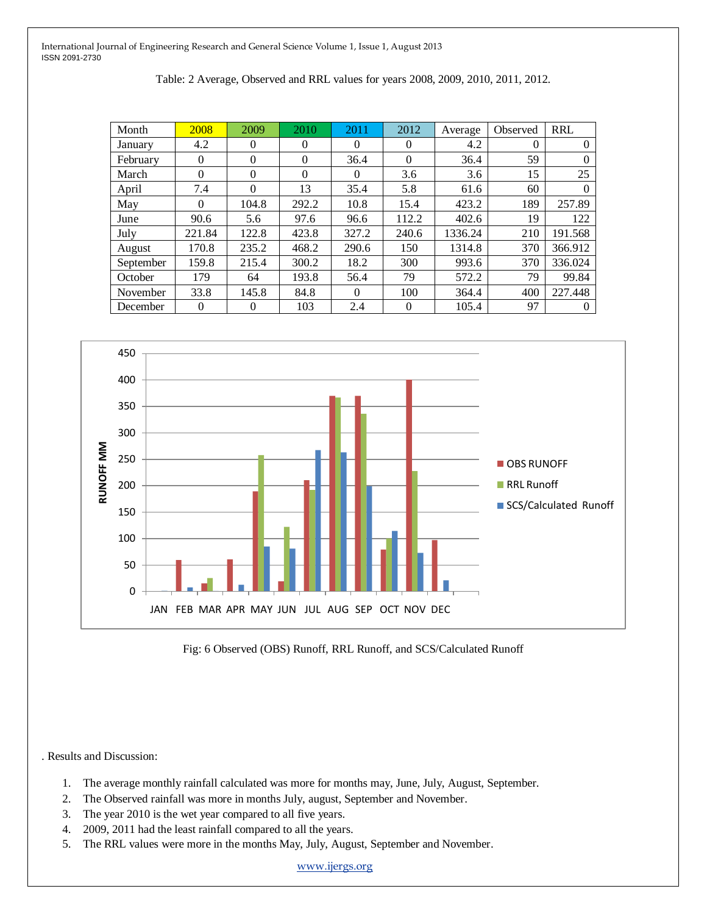| Table: 2 Average, Observed and RRL values for years 2008, 2009, 2010, 2011, 2012. |  |  |  |  |  |  |  |  |  |  |  |
|-----------------------------------------------------------------------------------|--|--|--|--|--|--|--|--|--|--|--|
|-----------------------------------------------------------------------------------|--|--|--|--|--|--|--|--|--|--|--|

| Month     | 2008     | 2009     | 2010     | 2011     | 2012     | Average | Observed | <b>RRL</b> |
|-----------|----------|----------|----------|----------|----------|---------|----------|------------|
| January   | 4.2      | $\Omega$ | 0        | $\Omega$ | $\theta$ | 4.2     | $\Omega$ | 0          |
| February  | $\Omega$ | $\Omega$ | $\theta$ | 36.4     | $\Omega$ | 36.4    | 59       | 0          |
| March     | 0        | $\Omega$ | $\theta$ | $\Omega$ | 3.6      | 3.6     | 15       | 25         |
| April     | 7.4      | $\Omega$ | 13       | 35.4     | 5.8      | 61.6    | 60       | 0          |
| May       | $\Omega$ | 104.8    | 292.2    | 10.8     | 15.4     | 423.2   | 189      | 257.89     |
| June      | 90.6     | 5.6      | 97.6     | 96.6     | 112.2    | 402.6   | 19       | 122        |
| July      | 221.84   | 122.8    | 423.8    | 327.2    | 240.6    | 1336.24 | 210      | 191.568    |
| August    | 170.8    | 235.2    | 468.2    | 290.6    | 150      | 1314.8  | 370      | 366.912    |
| September | 159.8    | 215.4    | 300.2    | 18.2     | 300      | 993.6   | 370      | 336.024    |
| October   | 179      | 64       | 193.8    | 56.4     | 79       | 572.2   | 79       | 99.84      |
| November  | 33.8     | 145.8    | 84.8     | $\Omega$ | 100      | 364.4   | 400      | 227.448    |
| December  | 0        | $\Omega$ | 103      | 2.4      | $\Omega$ | 105.4   | 97       | $\theta$   |



Fig: 6 Observed (OBS) Runoff, RRL Runoff, and SCS/Calculated Runoff

. Results and Discussion:

- 1. The average monthly rainfall calculated was more for months may, June, July, August, September.
- 2. The Observed rainfall was more in months July, august, September and November.
- 3. The year 2010 is the wet year compared to all five years.
- 4. 2009, 2011 had the least rainfall compared to all the years.
- 5. The RRL values were more in the months May, July, August, September and November.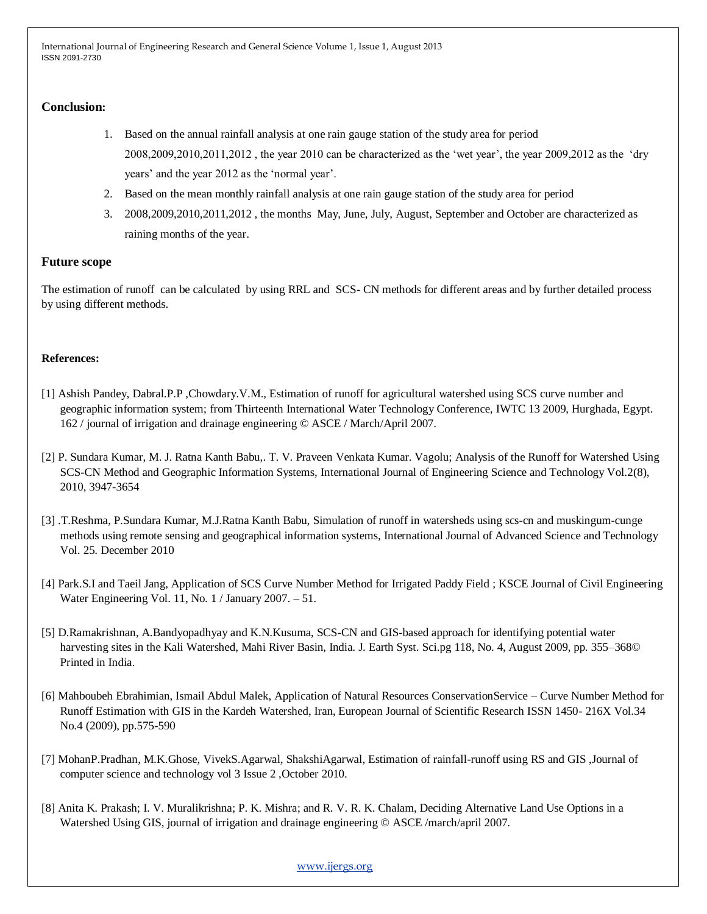# **Conclusion:**

- 1. Based on the annual rainfall analysis at one rain gauge station of the study area for period 2008,2009,2010,2011,2012 , the year 2010 can be characterized as the 'wet year', the year 2009,2012 as the 'dry years' and the year 2012 as the 'normal year'.
- 2. Based on the mean monthly rainfall analysis at one rain gauge station of the study area for period
- 3. 2008,2009,2010,2011,2012 , the months May, June, July, August, September and October are characterized as raining months of the year.

## **Future scope**

The estimation of runoff can be calculated by using RRL and SCS- CN methods for different areas and by further detailed process by using different methods.

## **References:**

- [1] Ashish Pandey, Dabral.P.P ,Chowdary.V.M., Estimation of runoff for agricultural watershed using SCS curve number and geographic information system; from Thirteenth International Water Technology Conference, IWTC 13 2009, Hurghada, Egypt. 162 / journal of irrigation and drainage engineering © ASCE / March/April 2007.
- [2] P. Sundara Kumar, M. J. Ratna Kanth Babu,. T. V. Praveen Venkata Kumar. Vagolu; Analysis of the Runoff for Watershed Using SCS-CN Method and Geographic Information Systems, International Journal of Engineering Science and Technology Vol.2(8), 2010, 3947-3654
- [3] .T.Reshma, P.Sundara Kumar, M.J.Ratna Kanth Babu, Simulation of runoff in watersheds using scs-cn and muskingum-cunge methods using remote sensing and geographical information systems, International Journal of Advanced Science and Technology Vol. 25. December 2010
- [4] Park.S.I and Taeil Jang, Application of SCS Curve Number Method for Irrigated Paddy Field ; KSCE Journal of Civil Engineering Water Engineering Vol. 11, No. 1 / January 2007. – 51.
- [5] D.Ramakrishnan, A.Bandyopadhyay and K.N.Kusuma, SCS-CN and GIS-based approach for identifying potential water harvesting sites in the Kali Watershed, Mahi River Basin, India. J. Earth Syst. Sci.pg 118, No. 4, August 2009, pp. 355–368© Printed in India.
- [6] Mahboubeh Ebrahimian, Ismail Abdul Malek, Application of Natural Resources ConservationService Curve Number Method for Runoff Estimation with GIS in the Kardeh Watershed, Iran, European Journal of Scientific Research ISSN 1450- 216X Vol.34 No.4 (2009), pp.575-590
- [7] MohanP.Pradhan, M.K.Ghose, VivekS.Agarwal, ShakshiAgarwal, Estimation of rainfall-runoff using RS and GIS ,Journal of computer science and technology vol 3 Issue 2 ,October 2010.
- [8] Anita K. Prakash; I. V. Muralikrishna; P. K. Mishra; and R. V. R. K. Chalam, Deciding Alternative Land Use Options in a Watershed Using GIS, journal of irrigation and drainage engineering © ASCE /march/april 2007.